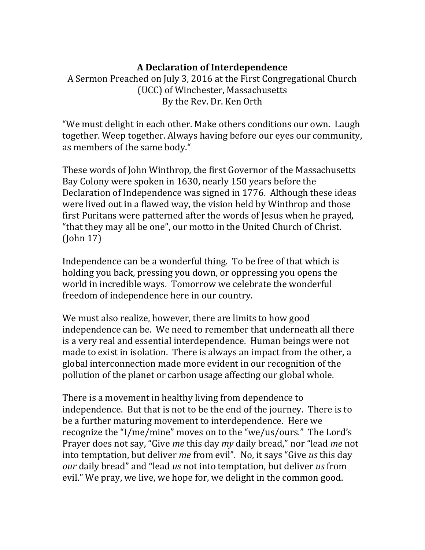## **A Declaration of Interdependence**

A Sermon Preached on July 3, 2016 at the First Congregational Church (UCC) of Winchester, Massachusetts By the Rev. Dr. Ken Orth

"We must delight in each other. Make others conditions our own. Laugh together. Weep together. Always having before our eyes our community, as members of the same body."

These words of John Winthrop, the first Governor of the Massachusetts Bay Colony were spoken in 1630, nearly 150 years before the Declaration of Independence was signed in 1776. Although these ideas were lived out in a flawed way, the vision held by Winthrop and those first Puritans were patterned after the words of Jesus when he prayed, "that they may all be one", our motto in the United Church of Christ. (John 17)

Independence can be a wonderful thing. To be free of that which is holding you back, pressing you down, or oppressing you opens the world in incredible ways. Tomorrow we celebrate the wonderful freedom of independence here in our country.

We must also realize, however, there are limits to how good independence can be. We need to remember that underneath all there is a very real and essential interdependence. Human beings were not made to exist in isolation. There is always an impact from the other, a global interconnection made more evident in our recognition of the pollution of the planet or carbon usage affecting our global whole.

There is a movement in healthy living from dependence to independence. But that is not to be the end of the journey. There is to be a further maturing movement to interdependence. Here we recognize the "I/me/mine" moves on to the "we/us/ours." The Lord's Prayer does not say, "Give *me* this day *my* daily bread," nor "lead *me* not into temptation, but deliver *me* from evil". No, it says "Give *us* this day *our* daily bread" and "lead *us* not into temptation, but deliver *us* from evil." We pray, we live, we hope for, we delight in the common good.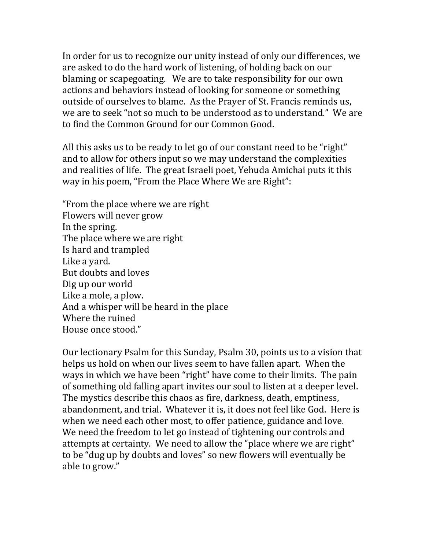In order for us to recognize our unity instead of only our differences, we are asked to do the hard work of listening, of holding back on our blaming or scapegoating. We are to take responsibility for our own actions and behaviors instead of looking for someone or something outside of ourselves to blame. As the Prayer of St. Francis reminds us, we are to seek "not so much to be understood as to understand." We are to find the Common Ground for our Common Good.

All this asks us to be ready to let go of our constant need to be "right" and to allow for others input so we may understand the complexities and realities of life. The great Israeli poet, Yehuda Amichai puts it this way in his poem, "From the Place Where We are Right":

"From the place where we are right Flowers will never grow In the spring. The place where we are right Is hard and trampled Like a yard. But doubts and loves Dig up our world Like a mole, a plow. And a whisper will be heard in the place Where the ruined House once stood."

Our lectionary Psalm for this Sunday, Psalm 30, points us to a vision that helps us hold on when our lives seem to have fallen apart. When the ways in which we have been "right" have come to their limits. The pain of something old falling apart invites our soul to listen at a deeper level. The mystics describe this chaos as fire, darkness, death, emptiness, abandonment, and trial. Whatever it is, it does not feel like God. Here is when we need each other most, to offer patience, guidance and love. We need the freedom to let go instead of tightening our controls and attempts at certainty. We need to allow the "place where we are right" to be "dug up by doubts and loves" so new flowers will eventually be able to grow."